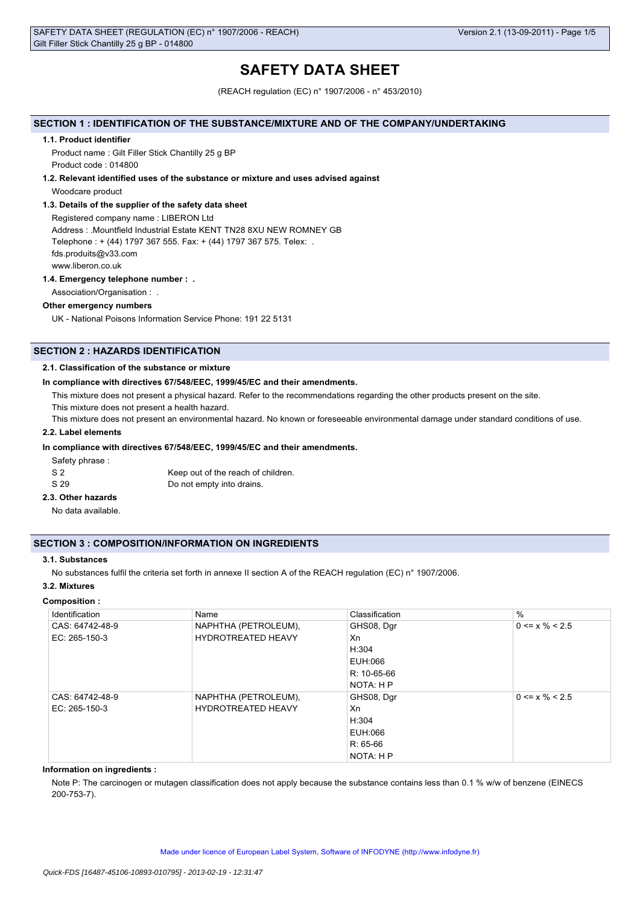# **SAFETY DATA SHEET**

(REACH regulation (EC) n° 1907/2006 - n° 453/2010)

# **SECTION 1 : IDENTIFICATION OF THE SUBSTANCE/MIXTURE AND OF THE COMPANY/UNDERTAKING**

#### **1.1. Product identifier**

Product name : Gilt Filler Stick Chantilly 25 g BP Product code : 014800

#### **1.2. Relevant identified uses of the substance or mixture and uses advised against**

Woodcare product

### **1.3. Details of the supplier of the safety data sheet**

Registered company name : LIBERON Ltd Address : .Mountfield Industrial Estate KENT TN28 8XU NEW ROMNEY GB Telephone : + (44) 1797 367 555. Fax: + (44) 1797 367 575. Telex: . fds.produits@v33.com www.liberon.co.uk

#### **1.4. Emergency telephone number : .**

Association/Organisation : .

### **Other emergency numbers**

UK - National Poisons Information Service Phone: 191 22 5131

# **SECTION 2 : HAZARDS IDENTIFICATION**

### **2.1. Classification of the substance or mixture**

### **In compliance with directives 67/548/EEC, 1999/45/EC and their amendments.**

This mixture does not present a physical hazard. Refer to the recommendations regarding the other products present on the site.

This mixture does not present a health hazard.

This mixture does not present an environmental hazard. No known or foreseeable environmental damage under standard conditions of use.

# **2.2. Label elements**

### **In compliance with directives 67/548/EEC, 1999/45/EC and their amendments.**

Safety phrase :

| - S 2 | Keep out of the reach of children. |
|-------|------------------------------------|
| S 29  | Do not empty into drains.          |

## **2.3. Other hazards**

No data available.

### **SECTION 3 : COMPOSITION/INFORMATION ON INGREDIENTS**

### **3.1. Substances**

No substances fulfil the criteria set forth in annexe II section A of the REACH regulation (EC) n° 1907/2006.

### **3.2. Mixtures**

#### **Composition :**

| Identification  | Name                      | Classification | $\frac{0}{0}$        |
|-----------------|---------------------------|----------------|----------------------|
| CAS: 64742-48-9 | NAPHTHA (PETROLEUM),      | GHS08, Dgr     | $0 \le x \% \le 2.5$ |
| EC: 265-150-3   | <b>HYDROTREATED HEAVY</b> | Xn             |                      |
|                 |                           | H:304          |                      |
|                 |                           | EUH:066        |                      |
|                 |                           | R: 10-65-66    |                      |
|                 |                           | NOTA: H P      |                      |
| CAS: 64742-48-9 | NAPHTHA (PETROLEUM),      | GHS08, Dgr     | $0 \le x \% \le 2.5$ |
| $EC: 265-150-3$ | <b>HYDROTREATED HEAVY</b> | Xn             |                      |
|                 |                           | H:304          |                      |
|                 |                           | EUH:066        |                      |
|                 |                           | $R: 65-66$     |                      |
|                 |                           | NOTA: H P      |                      |

### **Information on ingredients :**

Note P: The carcinogen or mutagen classification does not apply because the substance contains less than 0.1 % w/w of benzene (EINECS 200-753-7).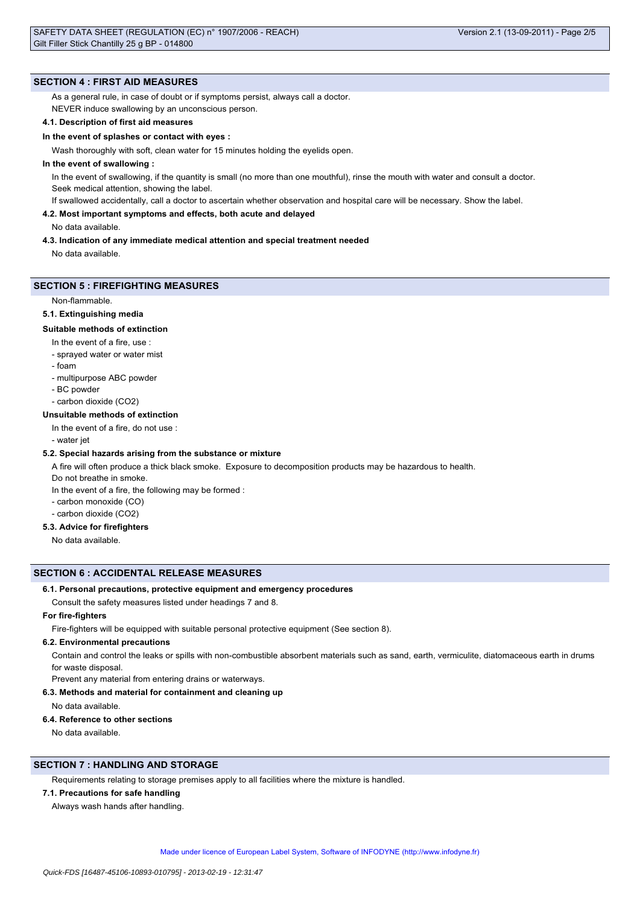### **SECTION 4 : FIRST AID MEASURES**

As a general rule, in case of doubt or if symptoms persist, always call a doctor.

NEVER induce swallowing by an unconscious person.

### **4.1. Description of first aid measures**

#### **In the event of splashes or contact with eyes :**

Wash thoroughly with soft, clean water for 15 minutes holding the eyelids open.

### **In the event of swallowing :**

In the event of swallowing, if the quantity is small (no more than one mouthful), rinse the mouth with water and consult a doctor. Seek medical attention, showing the label.

If swallowed accidentally, call a doctor to ascertain whether observation and hospital care will be necessary. Show the label.

#### **4.2. Most important symptoms and effects, both acute and delayed**

No data available.

#### **4.3. Indication of any immediate medical attention and special treatment needed**

No data available.

### **SECTION 5 : FIREFIGHTING MEASURES**

Non-flammable.

#### **5.1. Extinguishing media**

#### **Suitable methods of extinction**

- In the event of a fire, use :
- sprayed water or water mist
- foam
- multipurpose ABC powder
- BC powder
- carbon dioxide (CO2)

### **Unsuitable methods of extinction**

- In the event of a fire, do not use :
- water jet

### **5.2. Special hazards arising from the substance or mixture**

A fire will often produce a thick black smoke. Exposure to decomposition products may be hazardous to health.

Do not breathe in smoke.

- In the event of a fire, the following may be formed :
- carbon monoxide (CO)
- carbon dioxide (CO2)

# **5.3. Advice for firefighters**

No data available.

#### **SECTION 6 : ACCIDENTAL RELEASE MEASURES**

#### **6.1. Personal precautions, protective equipment and emergency procedures**

Consult the safety measures listed under headings 7 and 8.

# **For fire-fighters**

Fire-fighters will be equipped with suitable personal protective equipment (See section 8).

#### **6.2. Environmental precautions**

Contain and control the leaks or spills with non-combustible absorbent materials such as sand, earth, vermiculite, diatomaceous earth in drums for waste disposal.

### Prevent any material from entering drains or waterways.

**6.3. Methods and material for containment and cleaning up**

No data available.

#### **6.4. Reference to other sections**

No data available.

# **SECTION 7 : HANDLING AND STORAGE**

Requirements relating to storage premises apply to all facilities where the mixture is handled.

### **7.1. Precautions for safe handling**

Always wash hands after handling.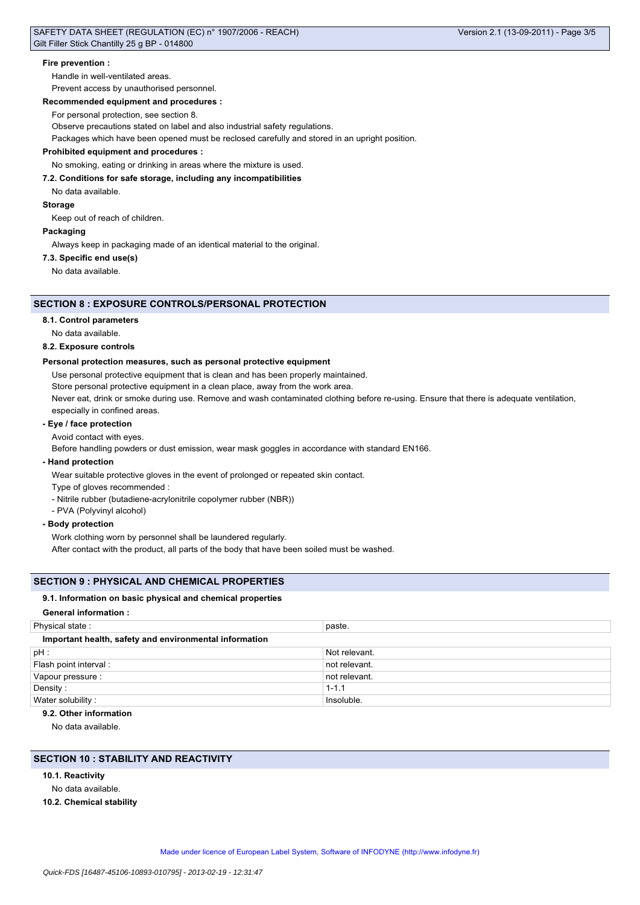### **Fire prevention :**

Handle in well-ventilated areas.

Prevent access by unauthorised personnel.

#### **Recommended equipment and procedures :**

For personal protection, see section 8.

Observe precautions stated on label and also industrial safety regulations.

Packages which have been opened must be reclosed carefully and stored in an upright position.

### **Prohibited equipment and procedures :**

No smoking, eating or drinking in areas where the mixture is used.

### **7.2. Conditions for safe storage, including any incompatibilities**

No data available.

**Storage**

Keep out of reach of children.

### **Packaging**

Always keep in packaging made of an identical material to the original.

#### **7.3. Specific end use(s)**

No data available.

# **SECTION 8 : EXPOSURE CONTROLS/PERSONAL PROTECTION**

#### **8.1. Control parameters**

No data available.

### **8.2. Exposure controls**

#### **Personal protection measures, such as personal protective equipment**

Use personal protective equipment that is clean and has been properly maintained.

Store personal protective equipment in a clean place, away from the work area.

Never eat, drink or smoke during use. Remove and wash contaminated clothing before re-using. Ensure that there is adequate ventilation, especially in confined areas.

### **- Eye / face protection**

Avoid contact with eyes.

Before handling powders or dust emission, wear mask goggles in accordance with standard EN166.

### **- Hand protection**

Wear suitable protective gloves in the event of prolonged or repeated skin contact.

- Type of gloves recommended :
- Nitrile rubber (butadiene-acrylonitrile copolymer rubber (NBR))
- PVA (Polyvinyl alcohol)

### **- Body protection**

Work clothing worn by personnel shall be laundered regularly.

After contact with the product, all parts of the body that have been soiled must be washed.

### **SECTION 9 : PHYSICAL AND CHEMICAL PROPERTIES**

#### **9.1. Information on basic physical and chemical properties**

#### **General information :**

| Physical state:                                        | paste.        |  |
|--------------------------------------------------------|---------------|--|
| Important health, safety and environmental information |               |  |
| $pH$ :                                                 | Not relevant. |  |
| Flash point interval:                                  | not relevant. |  |
| Vapour pressure :                                      | not relevant. |  |
| Density:                                               | $1 - 1.1$     |  |
| Water solubility:                                      | Insoluble.    |  |

#### **9.2. Other information**

No data available.

# **SECTION 10 : STABILITY AND REACTIVITY**

- **10.1. Reactivity**
- No data available.
- **10.2. Chemical stability**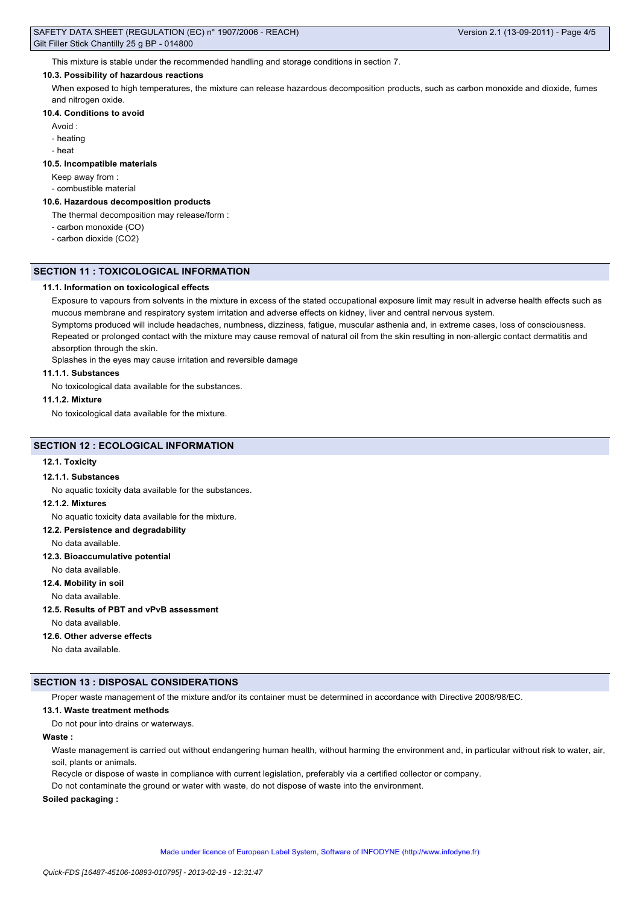This mixture is stable under the recommended handling and storage conditions in section 7.

# **10.3. Possibility of hazardous reactions**

When exposed to high temperatures, the mixture can release hazardous decomposition products, such as carbon monoxide and dioxide, fumes and nitrogen oxide.

### **10.4. Conditions to avoid**

- Avoid :
- heating
- heat

### **10.5. Incompatible materials**

Keep away from :

- combustible material

# **10.6. Hazardous decomposition products**

The thermal decomposition may release/form :

- carbon monoxide (CO)
- carbon dioxide (CO2)

# **SECTION 11 : TOXICOLOGICAL INFORMATION**

### **11.1. Information on toxicological effects**

Exposure to vapours from solvents in the mixture in excess of the stated occupational exposure limit may result in adverse health effects such as mucous membrane and respiratory system irritation and adverse effects on kidney, liver and central nervous system.

Symptoms produced will include headaches, numbness, dizziness, fatigue, muscular asthenia and, in extreme cases, loss of consciousness. Repeated or prolonged contact with the mixture may cause removal of natural oil from the skin resulting in non-allergic contact dermatitis and absorption through the skin.

Splashes in the eyes may cause irritation and reversible damage

### **11.1.1. Substances**

No toxicological data available for the substances.

### **11.1.2. Mixture**

No toxicological data available for the mixture.

### **SECTION 12 : ECOLOGICAL INFORMATION**

### **12.1. Toxicity**

### **12.1.1. Substances**

No aquatic toxicity data available for the substances.

# **12.1.2. Mixtures**

No aquatic toxicity data available for the mixture.

#### **12.2. Persistence and degradability**

No data available.

### **12.3. Bioaccumulative potential**

No data available.

# **12.4. Mobility in soil**

No data available.

### **12.5. Results of PBT and vPvB assessment**

No data available.

### **12.6. Other adverse effects**

No data available.

### **SECTION 13 : DISPOSAL CONSIDERATIONS**

Proper waste management of the mixture and/or its container must be determined in accordance with Directive 2008/98/EC.

### **13.1. Waste treatment methods**

Do not pour into drains or waterways.

# **Waste :**

Waste management is carried out without endangering human health, without harming the environment and, in particular without risk to water, air, soil, plants or animals.

Recycle or dispose of waste in compliance with current legislation, preferably via a certified collector or company.

Do not contaminate the ground or water with waste, do not dispose of waste into the environment.

### **Soiled packaging :**